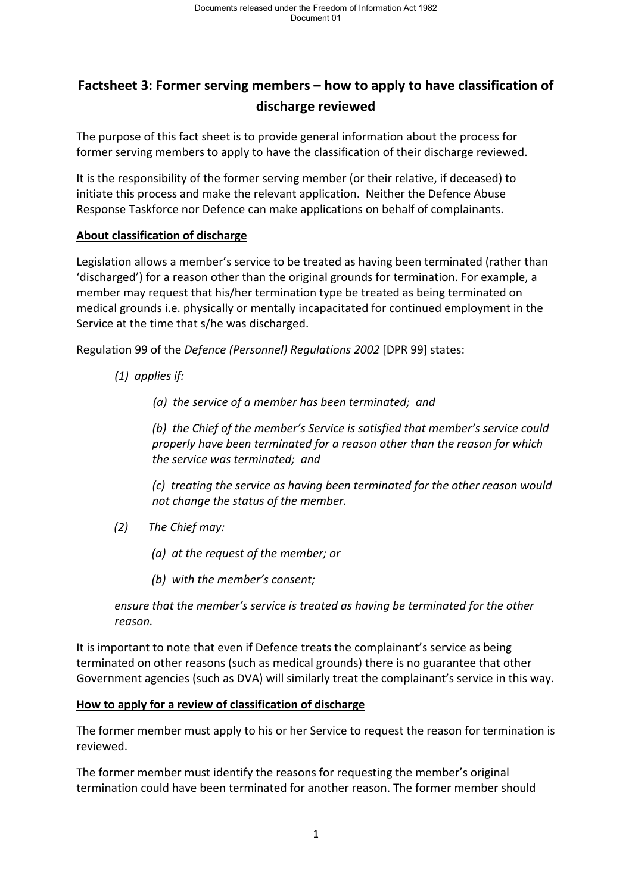# **Factsheet 3: Former serving members – how to apply to have classification of discharge reviewed**

The purpose of this fact sheet is to provide general information about the process for former serving members to apply to have the classification of their discharge reviewed.

It is the responsibility of the former serving member (or their relative, if deceased) to initiate this process and make the relevant application. Neither the Defence Abuse Response Taskforce nor Defence can make applications on behalf of complainants.

# **About classification of discharge**

Legislation allows a member's service to be treated as having been terminated (rather than 'discharged') for a reason other than the original grounds for termination. For example, a member may request that his/her termination type be treated as being terminated on medical grounds i.e. physically or mentally incapacitated for continued employment in the Service at the time that s/he was discharged.

Regulation 99 of the *Defence (Personnel) Regulations 2002* [DPR 99] states:

*(1) applies if:*

*(a) the service of a member has been terminated; and*

*(b) the Chief of the member's Service is satisfied that member's service could properly have been terminated for a reason other than the reason for which the service was terminated; and*

*(c) treating the service as having been terminated for the other reason would not change the status of the member.*

*(2) The Chief may:*

*(a) at the request of the member; or*

*(b) with the member's consent;*

*ensure that the member's service is treated as having be terminated for the other reason.*

It is important to note that even if Defence treats the complainant's service as being terminated on other reasons (such as medical grounds) there is no guarantee that other Government agencies (such as DVA) will similarly treat the complainant's service in this way.

# **How to apply for a review of classification of discharge**

The former member must apply to his or her Service to request the reason for termination is reviewed.

The former member must identify the reasons for requesting the member's original termination could have been terminated for another reason. The former member should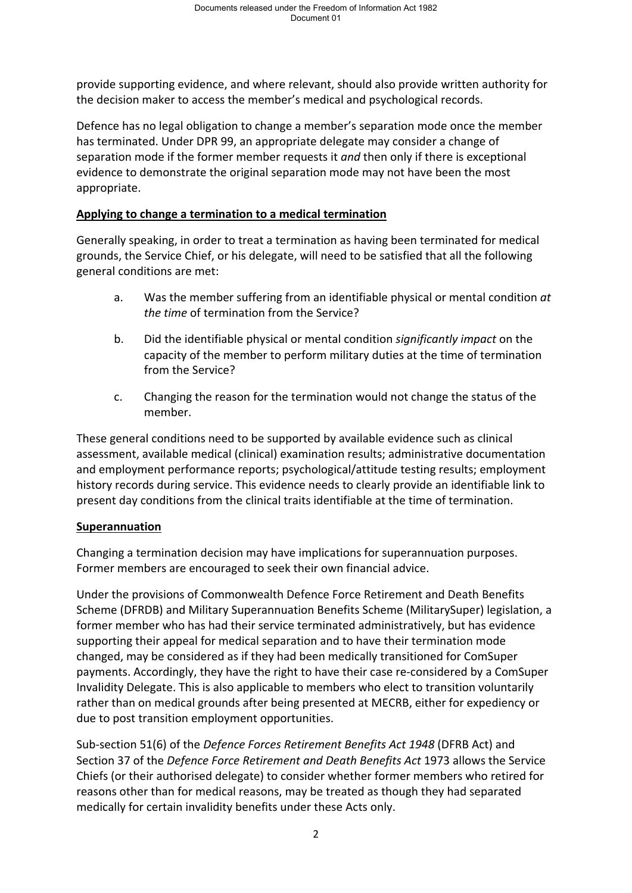provide supporting evidence, and where relevant, should also provide written authority for the decision maker to access the member's medical and psychological records.

Defence has no legal obligation to change a member's separation mode once the member has terminated. Under DPR 99, an appropriate delegate may consider a change of separation mode if the former member requests it *and* then only if there is exceptional evidence to demonstrate the original separation mode may not have been the most appropriate.

## **Applying to change a termination to a medical termination**

Generally speaking, in order to treat a termination as having been terminated for medical grounds, the Service Chief, or his delegate, will need to be satisfied that all the following general conditions are met:

- a. Was the member suffering from an identifiable physical or mental condition *at the time* of termination from the Service?
- b. Did the identifiable physical or mental condition *significantly impact* on the capacity of the member to perform military duties at the time of termination from the Service?
- c. Changing the reason for the termination would not change the status of the member.

These general conditions need to be supported by available evidence such as clinical assessment, available medical (clinical) examination results; administrative documentation and employment performance reports; psychological/attitude testing results; employment history records during service. This evidence needs to clearly provide an identifiable link to present day conditions from the clinical traits identifiable at the time of termination.

#### **Superannuation**

Changing a termination decision may have implications for superannuation purposes. Former members are encouraged to seek their own financial advice.

Under the provisions of Commonwealth Defence Force Retirement and Death Benefits Scheme (DFRDB) and Military Superannuation Benefits Scheme (MilitarySuper) legislation, a former member who has had their service terminated administratively, but has evidence supporting their appeal for medical separation and to have their termination mode changed, may be considered as if they had been medically transitioned for ComSuper payments. Accordingly, they have the right to have their case re-considered by a ComSuper Invalidity Delegate. This is also applicable to members who elect to transition voluntarily rather than on medical grounds after being presented at MECRB, either for expediency or due to post transition employment opportunities.

Sub-section 51(6) of the *Defence Forces Retirement Benefits Act 1948* (DFRB Act) and Section 37 of the *Defence Force Retirement and Death Benefits Act* 1973 allows the Service Chiefs (or their authorised delegate) to consider whether former members who retired for reasons other than for medical reasons, may be treated as though they had separated medically for certain invalidity benefits under these Acts only.